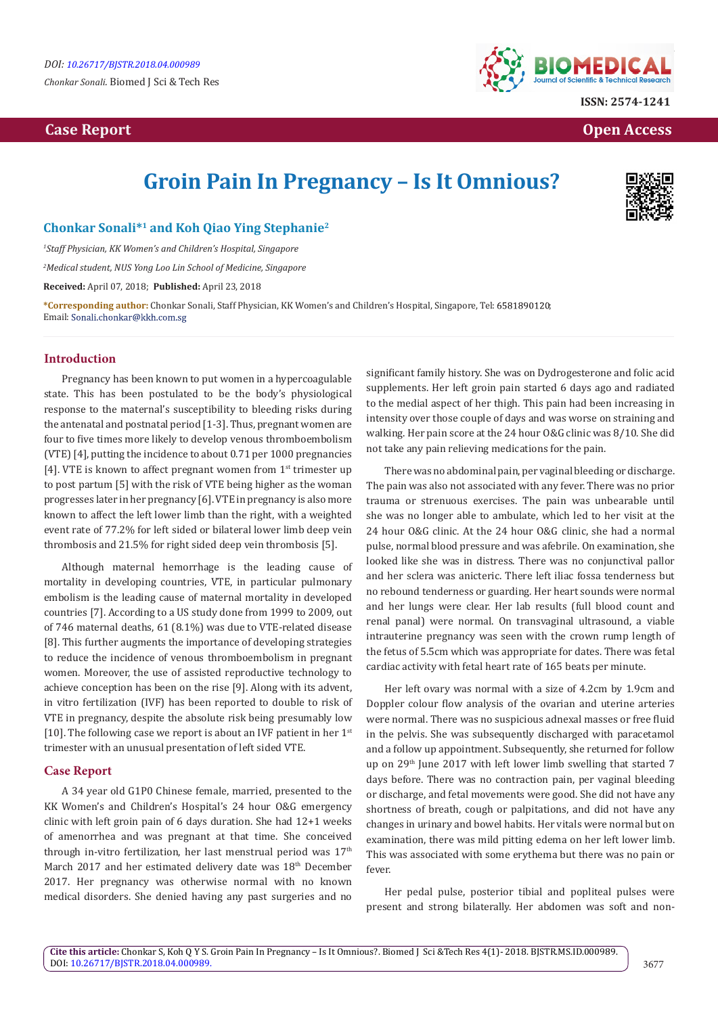*Chonkar Sonali.* Biomed J Sci & Tech Res

## **Case Report Case Report Case Report Case Report Case Report Case Report Case Report Case Report Case Report Case Report Case Report Case Report Case Report Case Report Case Report Case Report Case Report Case Report Case**



# **Groin Pain In Pregnancy – Is It Omnious?**



### **Chonkar Sonali\*1 and Koh Qiao Ying Stephanie2**

*1 Staff Physician, KK Women's and Children's Hospital, Singapore*

*2 Medical student, NUS Yong Loo Lin School of Medicine, Singapore*

**Received:** April 07, 2018; **Published:** April 23, 2018

**\*Corresponding author:** Chonkar Sonali, Staff Physician, KK Women's and Children's Hospital, Singapore, Tel: ; Email: Sonali.chonkar@kkh.com.sg

#### **Introduction**

Pregnancy has been known to put women in a hypercoagulable state. This has been postulated to be the body's physiological response to the maternal's susceptibility to bleeding risks during the antenatal and postnatal period [1-3]. Thus, pregnant women are four to five times more likely to develop venous thromboembolism (VTE) [4], putting the incidence to about 0.71 per 1000 pregnancies [4]. VTE is known to affect pregnant women from  $1<sup>st</sup>$  trimester up to post partum [5] with the risk of VTE being higher as the woman progresses later in her pregnancy [6]. VTE in pregnancy is also more known to affect the left lower limb than the right, with a weighted event rate of 77.2% for left sided or bilateral lower limb deep vein thrombosis and 21.5% for right sided deep vein thrombosis [5].

Although maternal hemorrhage is the leading cause of mortality in developing countries, VTE, in particular pulmonary embolism is the leading cause of maternal mortality in developed countries [7]. According to a US study done from 1999 to 2009, out of 746 maternal deaths, 61 (8.1%) was due to VTE-related disease [8]. This further augments the importance of developing strategies to reduce the incidence of venous thromboembolism in pregnant women. Moreover, the use of assisted reproductive technology to achieve conception has been on the rise [9]. Along with its advent, in vitro fertilization (IVF) has been reported to double to risk of VTE in pregnancy, despite the absolute risk being presumably low [10]. The following case we report is about an IVF patient in her  $1<sup>st</sup>$ trimester with an unusual presentation of left sided VTE.

#### **Case Report**

A 34 year old G1P0 Chinese female, married, presented to the KK Women's and Children's Hospital's 24 hour O&G emergency clinic with left groin pain of 6 days duration. She had 12+1 weeks of amenorrhea and was pregnant at that time. She conceived through in-vitro fertilization, her last menstrual period was  $17<sup>th</sup>$ March 2017 and her estimated delivery date was 18<sup>th</sup> December 2017. Her pregnancy was otherwise normal with no known medical disorders. She denied having any past surgeries and no significant family history. She was on Dydrogesterone and folic acid supplements. Her left groin pain started 6 days ago and radiated to the medial aspect of her thigh. This pain had been increasing in intensity over those couple of days and was worse on straining and walking. Her pain score at the 24 hour O&G clinic was 8/10. She did not take any pain relieving medications for the pain.

There was no abdominal pain, per vaginal bleeding or discharge. The pain was also not associated with any fever. There was no prior trauma or strenuous exercises. The pain was unbearable until she was no longer able to ambulate, which led to her visit at the 24 hour O&G clinic. At the 24 hour O&G clinic, she had a normal pulse, normal blood pressure and was afebrile. On examination, she looked like she was in distress. There was no conjunctival pallor and her sclera was anicteric. There left iliac fossa tenderness but no rebound tenderness or guarding. Her heart sounds were normal and her lungs were clear. Her lab results (full blood count and renal panal) were normal. On transvaginal ultrasound, a viable intrauterine pregnancy was seen with the crown rump length of the fetus of 5.5cm which was appropriate for dates. There was fetal cardiac activity with fetal heart rate of 165 beats per minute.

Her left ovary was normal with a size of 4.2cm by 1.9cm and Doppler colour flow analysis of the ovarian and uterine arteries were normal. There was no suspicious adnexal masses or free fluid in the pelvis. She was subsequently discharged with paracetamol and a follow up appointment. Subsequently, she returned for follow up on 29<sup>th</sup> June 2017 with left lower limb swelling that started 7 days before. There was no contraction pain, per vaginal bleeding or discharge, and fetal movements were good. She did not have any shortness of breath, cough or palpitations, and did not have any changes in urinary and bowel habits. Her vitals were normal but on examination, there was mild pitting edema on her left lower limb. This was associated with some erythema but there was no pain or fever.

Her pedal pulse, posterior tibial and popliteal pulses were present and strong bilaterally. Her abdomen was soft and non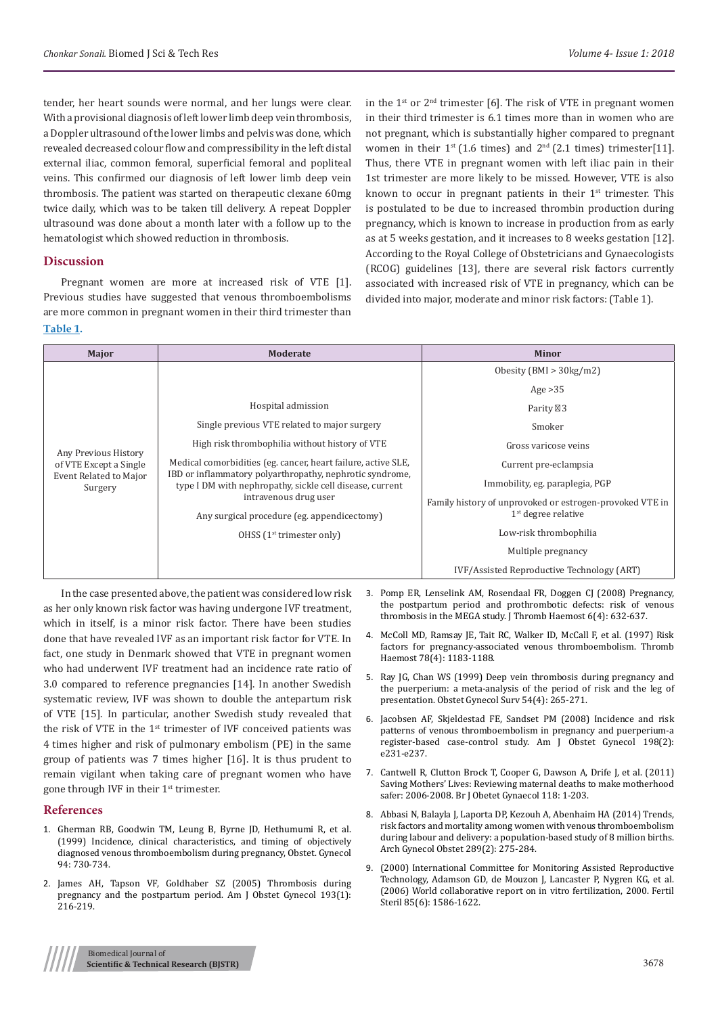tender, her heart sounds were normal, and her lungs were clear. With a provisional diagnosis of left lower limb deep vein thrombosis, a Doppler ultrasound of the lower limbs and pelvis was done, which revealed decreased colour flow and compressibility in the left distal external iliac, common femoral, superficial femoral and popliteal veins. This confirmed our diagnosis of left lower limb deep vein thrombosis. The patient was started on therapeutic clexane 60mg twice daily, which was to be taken till delivery. A repeat Doppler ultrasound was done about a month later with a follow up to the hematologist which showed reduction in thrombosis.

#### **Discussion**

Pregnant women are more at increased risk of VTE [1]. Previous studies have suggested that venous thromboembolisms are more common in pregnant women in their third trimester than **Table 1.**

in the  $1^{st}$  or  $2^{nd}$  trimester [6]. The risk of VTE in pregnant women in their third trimester is 6.1 times more than in women who are not pregnant, which is substantially higher compared to pregnant women in their  $1^{st}$  (1.6 times) and  $2^{nd}$  (2.1 times) trimester[11]. Thus, there VTE in pregnant women with left iliac pain in their 1st trimester are more likely to be missed. However, VTE is also known to occur in pregnant patients in their  $1<sup>st</sup>$  trimester. This is postulated to be due to increased thrombin production during pregnancy, which is known to increase in production from as early as at 5 weeks gestation, and it increases to 8 weeks gestation [12]. According to the Royal College of Obstetricians and Gynaecologists (RCOG) guidelines [13], there are several risk factors currently associated with increased risk of VTE in pregnancy, which can be divided into major, moderate and minor risk factors: (Table 1).

| Major                                                                               | Moderate                                                                                                                                                                              | <b>Minor</b>                                             |
|-------------------------------------------------------------------------------------|---------------------------------------------------------------------------------------------------------------------------------------------------------------------------------------|----------------------------------------------------------|
| Any Previous History<br>of VTE Except a Single<br>Event Related to Major<br>Surgery |                                                                                                                                                                                       | Obesity (BMI $>$ 30kg/m2)                                |
|                                                                                     |                                                                                                                                                                                       | Age $>35$                                                |
|                                                                                     | Hospital admission                                                                                                                                                                    | Parity 3                                                 |
|                                                                                     | Single previous VTE related to major surgery                                                                                                                                          | Smoker                                                   |
|                                                                                     | High risk thrombophilia without history of VTE                                                                                                                                        | Gross varicose veins                                     |
|                                                                                     | Medical comorbidities (eg. cancer, heart failure, active SLE,<br>IBD or inflammatory polyarthropathy, nephrotic syndrome,<br>type I DM with nephropathy, sickle cell disease, current | Current pre-eclampsia                                    |
|                                                                                     |                                                                                                                                                                                       | Immobility, eg. paraplegia, PGP                          |
|                                                                                     | intravenous drug user                                                                                                                                                                 | Family history of unprovoked or estrogen-provoked VTE in |
|                                                                                     | Any surgical procedure (eg. appendicectomy)                                                                                                                                           | $1st$ degree relative                                    |
|                                                                                     | OHSS $(1st$ trimester only)                                                                                                                                                           | Low-risk thrombophilia                                   |
|                                                                                     |                                                                                                                                                                                       | Multiple pregnancy                                       |
|                                                                                     |                                                                                                                                                                                       | IVF/Assisted Reproductive Technology (ART)               |

In the case presented above, the patient was considered low risk as her only known risk factor was having undergone IVF treatment, which in itself, is a minor risk factor. There have been studies done that have revealed IVF as an important risk factor for VTE. In fact, one study in Denmark showed that VTE in pregnant women who had underwent IVF treatment had an incidence rate ratio of 3.0 compared to reference pregnancies [14]. In another Swedish systematic review, IVF was shown to double the antepartum risk of VTE [15]. In particular, another Swedish study revealed that the risk of VTE in the 1<sup>st</sup> trimester of IVF conceived patients was 4 times higher and risk of pulmonary embolism (PE) in the same group of patients was 7 times higher [16]. It is thus prudent to remain vigilant when taking care of pregnant women who have gone through IVF in their 1<sup>st</sup> trimester.

#### **References**

- 1. [Gherman RB, Goodwin TM, Leung B, Byrne JD, Hethumumi R, et al.](https://www.ncbi.nlm.nih.gov/pubmed/10546719)  [\(1999\) Incidence, clinical characteristics, and timing of objectively](https://www.ncbi.nlm.nih.gov/pubmed/10546719)  [diagnosed venous thromboembolism during pregnancy, Obstet. Gynecol](https://www.ncbi.nlm.nih.gov/pubmed/10546719)  [94: 730-734.](https://www.ncbi.nlm.nih.gov/pubmed/10546719)
- 2. [James AH, Tapson VF, Goldhaber SZ \(2005\) Thrombosis during](https://www.ncbi.nlm.nih.gov/pubmed/16021082)  [pregnancy and the postpartum period. Am J Obstet Gynecol 193\(1\):](https://www.ncbi.nlm.nih.gov/pubmed/16021082)  [216-219.](https://www.ncbi.nlm.nih.gov/pubmed/16021082)
- 3. [Pomp ER, Lenselink AM, Rosendaal FR, Doggen CJ \(2008\) Pregnancy,](https://www.ncbi.nlm.nih.gov/pubmed/18248600) [the postpartum period and prothrombotic defects: risk of venous](https://www.ncbi.nlm.nih.gov/pubmed/18248600) [thrombosis in the MEGA study. J Thromb Haemost 6\(4\): 632-637.](https://www.ncbi.nlm.nih.gov/pubmed/18248600)
- 4. [McColl MD, Ramsay JE, Tait RC, Walker ID, McCall F, et al. \(1997\) Risk](https://www.ncbi.nlm.nih.gov/pubmed/9364982) [factors for pregnancy-associated venous thromboembolism. Thromb](https://www.ncbi.nlm.nih.gov/pubmed/9364982) [Haemost 78\(4\): 1183-1188.](https://www.ncbi.nlm.nih.gov/pubmed/9364982)
- 5. [Ray JG, Chan WS \(1999\) Deep vein thrombosis during pregnancy and](https://www.ncbi.nlm.nih.gov/pubmed/10198931) [the puerperium: a meta-analysis of the period of risk and the leg of](https://www.ncbi.nlm.nih.gov/pubmed/10198931) [presentation. Obstet Gynecol Surv 54\(4\): 265-271.](https://www.ncbi.nlm.nih.gov/pubmed/10198931)
- 6. [Jacobsen AF, Skjeldestad FE, Sandset PM \(2008\) Incidence and risk](https://www.ncbi.nlm.nih.gov/pubmed/17997389) [patterns of venous thromboembolism in pregnancy and puerperium-a](https://www.ncbi.nlm.nih.gov/pubmed/17997389) [register-based case-control study. Am J Obstet Gynecol 198\(2\):](https://www.ncbi.nlm.nih.gov/pubmed/17997389) [e231-e237.](https://www.ncbi.nlm.nih.gov/pubmed/17997389)
- 7. [Cantwell R, Clutton Brock T, Cooper G, Dawson A, Drife J, et al. \(2011\)](https://www.ncbi.nlm.nih.gov/pubmed/21356004) [Saving Mothers' Lives: Reviewing maternal deaths to make motherhood](https://www.ncbi.nlm.nih.gov/pubmed/21356004) [safer: 2006-2008. Br J Obetet Gynaecol 118: 1-203.](https://www.ncbi.nlm.nih.gov/pubmed/21356004)
- 8. [Abbasi N, Balayla J, Laporta DP, Kezouh A, Abenhaim HA \(2014\) Trends,](https://www.ncbi.nlm.nih.gov/pubmed/23864199) [risk factors and mortality among women with venous thromboembolism](https://www.ncbi.nlm.nih.gov/pubmed/23864199) [during labour and delivery: a population-based study of 8 million births.](https://www.ncbi.nlm.nih.gov/pubmed/23864199) [Arch Gynecol Obstet 289\(2\): 275-284.](https://www.ncbi.nlm.nih.gov/pubmed/23864199)
- 9. [\(2000\) International Committee for Monitoring Assisted Reproductive](https://www.ncbi.nlm.nih.gov/pubmed/16759920) [Technology, Adamson GD, de Mouzon J, Lancaster P, Nygren KG, et al.](https://www.ncbi.nlm.nih.gov/pubmed/16759920) [\(2006\) World collaborative report on in vitro fertilization, 2000. Fertil](https://www.ncbi.nlm.nih.gov/pubmed/16759920) [Steril 85\(6\): 1586-1622.](https://www.ncbi.nlm.nih.gov/pubmed/16759920)